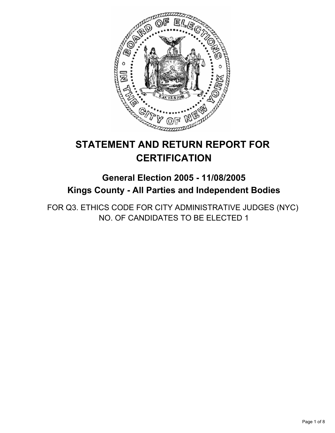

# **STATEMENT AND RETURN REPORT FOR CERTIFICATION**

## **General Election 2005 - 11/08/2005 Kings County - All Parties and Independent Bodies**

FOR Q3. ETHICS CODE FOR CITY ADMINISTRATIVE JUDGES (NYC) NO. OF CANDIDATES TO BE ELECTED 1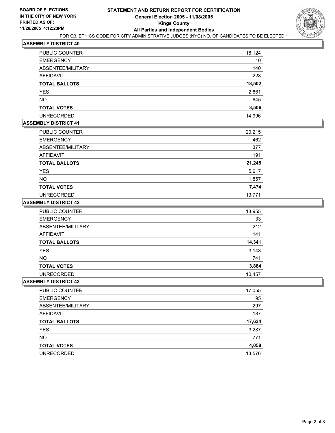

| PUBLIC COUNTER       | 18,124 |
|----------------------|--------|
| <b>EMERGENCY</b>     | 10     |
| ABSENTEE/MILITARY    | 140    |
| AFFIDAVIT            | 228    |
| <b>TOTAL BALLOTS</b> | 18,502 |
| <b>YES</b>           | 2,861  |
| <b>NO</b>            | 645    |
| <b>TOTAL VOTES</b>   | 3,506  |
| <b>UNRECORDED</b>    | 14,996 |

## **ASSEMBLY DISTRICT 41**

| PUBLIC COUNTER       | 20,215 |
|----------------------|--------|
| <b>EMERGENCY</b>     | 462    |
| ABSENTEE/MILITARY    | 377    |
| AFFIDAVIT            | 191    |
| <b>TOTAL BALLOTS</b> | 21,245 |
| <b>YES</b>           | 5,617  |
| <b>NO</b>            | 1,857  |
| <b>TOTAL VOTES</b>   | 7,474  |
| <b>UNRECORDED</b>    | 13,771 |

#### **ASSEMBLY DISTRICT 42**

| <b>PUBLIC COUNTER</b> | 13,955 |
|-----------------------|--------|
| <b>EMERGENCY</b>      | 33     |
| ABSENTEE/MILITARY     | 212    |
| AFFIDAVIT             | 141    |
| <b>TOTAL BALLOTS</b>  | 14,341 |
| YES                   | 3,143  |
| <b>NO</b>             | 741    |
| <b>TOTAL VOTES</b>    | 3,884  |
| <b>UNRECORDED</b>     | 10,457 |

| PUBLIC COUNTER       | 17,055 |
|----------------------|--------|
| <b>EMERGENCY</b>     | 95     |
| ABSENTEE/MILITARY    | 297    |
| AFFIDAVIT            | 187    |
| <b>TOTAL BALLOTS</b> | 17,634 |
| <b>YES</b>           | 3,287  |
| <b>NO</b>            | 771    |
| <b>TOTAL VOTES</b>   | 4,058  |
| <b>UNRECORDED</b>    | 13,576 |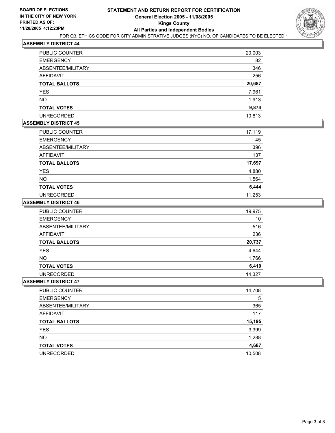

| <b>PUBLIC COUNTER</b> | 20,003 |
|-----------------------|--------|
| <b>EMERGENCY</b>      | 82     |
| ABSENTEE/MILITARY     | 346    |
| AFFIDAVIT             | 256    |
| <b>TOTAL BALLOTS</b>  | 20,687 |
| <b>YES</b>            | 7,961  |
| <b>NO</b>             | 1,913  |
| <b>TOTAL VOTES</b>    | 9,874  |
| <b>UNRECORDED</b>     | 10,813 |

## **ASSEMBLY DISTRICT 45**

| PUBLIC COUNTER       | 17,119 |
|----------------------|--------|
| <b>EMERGENCY</b>     | 45     |
| ABSENTEE/MILITARY    | 396    |
| AFFIDAVIT            | 137    |
| <b>TOTAL BALLOTS</b> | 17,697 |
| <b>YES</b>           | 4,880  |
| <b>NO</b>            | 1,564  |
| <b>TOTAL VOTES</b>   | 6,444  |
| <b>UNRECORDED</b>    | 11,253 |

#### **ASSEMBLY DISTRICT 46**

| <b>PUBLIC COUNTER</b> | 19,975 |
|-----------------------|--------|
| <b>EMERGENCY</b>      | 10     |
| ABSENTEE/MILITARY     | 516    |
| AFFIDAVIT             | 236    |
| <b>TOTAL BALLOTS</b>  | 20,737 |
| <b>YES</b>            | 4,644  |
| <b>NO</b>             | 1,766  |
| <b>TOTAL VOTES</b>    | 6,410  |
| <b>UNRECORDED</b>     | 14,327 |

| PUBLIC COUNTER       | 14,708 |
|----------------------|--------|
| <b>EMERGENCY</b>     | 5      |
| ABSENTEE/MILITARY    | 365    |
| AFFIDAVIT            | 117    |
| <b>TOTAL BALLOTS</b> | 15,195 |
| <b>YES</b>           | 3,399  |
| <b>NO</b>            | 1,288  |
| <b>TOTAL VOTES</b>   | 4,687  |
| <b>UNRECORDED</b>    | 10,508 |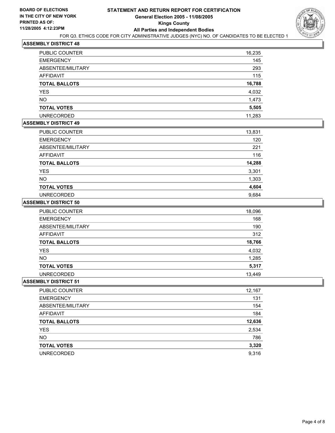

| PUBLIC COUNTER       | 16,235 |
|----------------------|--------|
| <b>EMERGENCY</b>     | 145    |
| ABSENTEE/MILITARY    | 293    |
| <b>AFFIDAVIT</b>     | 115    |
| <b>TOTAL BALLOTS</b> | 16,788 |
| <b>YES</b>           | 4,032  |
| <b>NO</b>            | 1,473  |
| <b>TOTAL VOTES</b>   | 5,505  |
| <b>UNRECORDED</b>    | 11,283 |

## **ASSEMBLY DISTRICT 49**

| PUBLIC COUNTER       | 13,831 |
|----------------------|--------|
| <b>EMERGENCY</b>     | 120    |
| ABSENTEE/MILITARY    | 221    |
| AFFIDAVIT            | 116    |
| <b>TOTAL BALLOTS</b> | 14,288 |
| <b>YES</b>           | 3,301  |
| <b>NO</b>            | 1,303  |
| <b>TOTAL VOTES</b>   | 4,604  |
| <b>UNRECORDED</b>    | 9,684  |

#### **ASSEMBLY DISTRICT 50**

| PUBLIC COUNTER       | 18,096 |
|----------------------|--------|
| <b>EMERGENCY</b>     | 168    |
| ABSENTEE/MILITARY    | 190    |
| AFFIDAVIT            | 312    |
| <b>TOTAL BALLOTS</b> | 18,766 |
| YES                  | 4,032  |
| NO.                  | 1,285  |
| <b>TOTAL VOTES</b>   | 5,317  |
| <b>UNRECORDED</b>    | 13,449 |

| 12,167 |
|--------|
| 131    |
| 154    |
| 184    |
| 12,636 |
| 2,534  |
| 786    |
| 3,320  |
| 9,316  |
|        |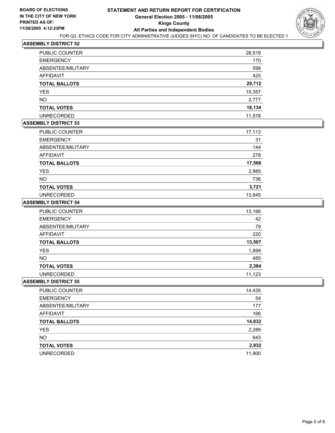

| PUBLIC COUNTER       | 28,519 |
|----------------------|--------|
| <b>EMERGENCY</b>     | 170    |
| ABSENTEE/MILITARY    | 598    |
| AFFIDAVIT            | 425    |
| <b>TOTAL BALLOTS</b> | 29,712 |
| <b>YES</b>           | 15,357 |
| <b>NO</b>            | 2,777  |
| <b>TOTAL VOTES</b>   | 18,134 |
| <b>UNRECORDED</b>    | 11,578 |

## **ASSEMBLY DISTRICT 53**

| PUBLIC COUNTER       | 17,113 |
|----------------------|--------|
| <b>EMERGENCY</b>     | 31     |
| ABSENTEE/MILITARY    | 144    |
| <b>AFFIDAVIT</b>     | 278    |
| <b>TOTAL BALLOTS</b> | 17,566 |
| <b>YES</b>           | 2,985  |
| <b>NO</b>            | 736    |
| <b>TOTAL VOTES</b>   | 3,721  |
| <b>UNRECORDED</b>    | 13,845 |

#### **ASSEMBLY DISTRICT 54**

| <b>PUBLIC COUNTER</b> | 13,166 |
|-----------------------|--------|
| <b>EMERGENCY</b>      | 42     |
| ABSENTEE/MILITARY     | 79     |
| AFFIDAVIT             | 220    |
| <b>TOTAL BALLOTS</b>  | 13,507 |
| <b>YES</b>            | 1,899  |
| NO.                   | 485    |
| <b>TOTAL VOTES</b>    | 2,384  |
| <b>UNRECORDED</b>     | 11,123 |

| PUBLIC COUNTER       | 14,435 |
|----------------------|--------|
| <b>EMERGENCY</b>     | 54     |
| ABSENTEE/MILITARY    | 177    |
| AFFIDAVIT            | 166    |
| <b>TOTAL BALLOTS</b> | 14,832 |
| <b>YES</b>           | 2,289  |
| <b>NO</b>            | 643    |
| <b>TOTAL VOTES</b>   | 2,932  |
| <b>UNRECORDED</b>    | 11,900 |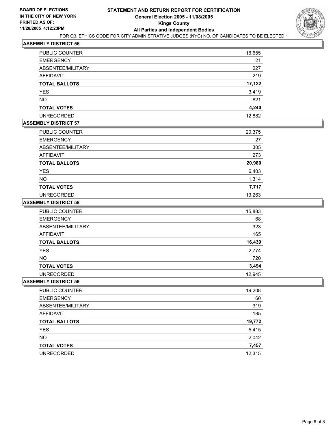

| PUBLIC COUNTER       | 16,655 |
|----------------------|--------|
| <b>EMERGENCY</b>     | 21     |
| ABSENTEE/MILITARY    | 227    |
| <b>AFFIDAVIT</b>     | 219    |
| <b>TOTAL BALLOTS</b> | 17,122 |
| <b>YES</b>           | 3,419  |
| <b>NO</b>            | 821    |
| <b>TOTAL VOTES</b>   | 4,240  |
| <b>UNRECORDED</b>    | 12,882 |

## **ASSEMBLY DISTRICT 57**

| PUBLIC COUNTER       | 20,375 |
|----------------------|--------|
| <b>EMERGENCY</b>     | 27     |
| ABSENTEE/MILITARY    | 305    |
| AFFIDAVIT            | 273    |
| <b>TOTAL BALLOTS</b> | 20,980 |
| <b>YES</b>           | 6,403  |
| <b>NO</b>            | 1,314  |
| <b>TOTAL VOTES</b>   | 7,717  |
| <b>UNRECORDED</b>    | 13,263 |

#### **ASSEMBLY DISTRICT 58**

| PUBLIC COUNTER       | 15,883 |
|----------------------|--------|
| <b>EMERGENCY</b>     | 68     |
| ABSENTEE/MILITARY    | 323    |
| AFFIDAVIT            | 165    |
| <b>TOTAL BALLOTS</b> | 16,439 |
| <b>YES</b>           | 2,774  |
| <b>NO</b>            | 720    |
| <b>TOTAL VOTES</b>   | 3,494  |
| <b>UNRECORDED</b>    | 12,945 |

| 19,208 |
|--------|
| 60     |
| 319    |
| 185    |
| 19,772 |
| 5,415  |
| 2,042  |
| 7,457  |
| 12,315 |
|        |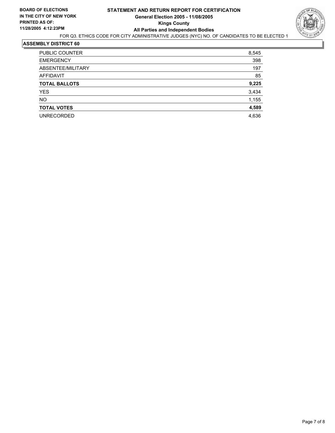

| PUBLIC COUNTER       | 8,545 |
|----------------------|-------|
| <b>EMERGENCY</b>     | 398   |
| ABSENTEE/MILITARY    | 197   |
| AFFIDAVIT            | 85    |
| <b>TOTAL BALLOTS</b> | 9,225 |
| YES                  | 3,434 |
| <b>NO</b>            | 1,155 |
| <b>TOTAL VOTES</b>   | 4,589 |
| <b>UNRECORDED</b>    | 4,636 |
|                      |       |